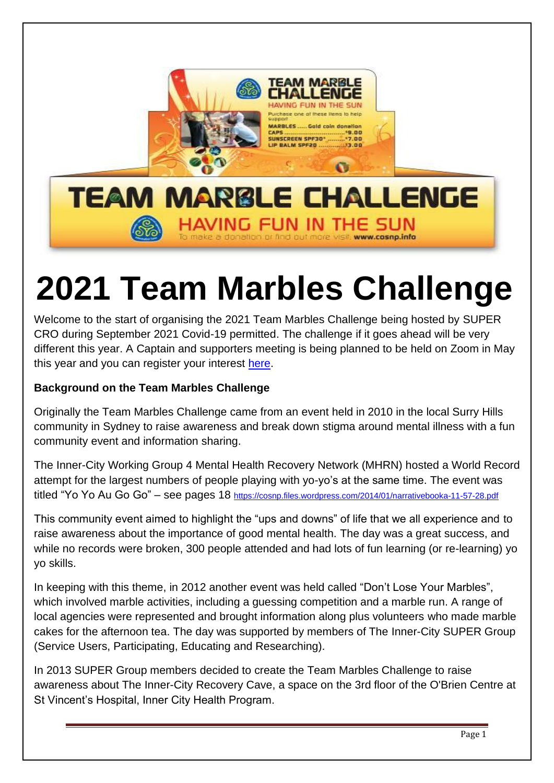

# **2021 Team Marbles Challenge**

Welcome to the start of organising the 2021 Team Marbles Challenge being hosted by SUPER CRO during September 2021 Covid-19 permitted. The challenge if it goes ahead will be very different this year. A Captain and supporters meeting is being planned to be held on Zoom in May this year and you can register your interest [here.](https://supercro.com/team-marbles-challenge/)

## **Background on the Team Marbles Challenge**

Originally the Team Marbles Challenge came from an event held in 2010 in the local Surry Hills community in Sydney to raise awareness and break down stigma around mental illness with a fun community event and information sharing.

The Inner-City Working Group 4 Mental Health Recovery Network (MHRN) hosted a World Record attempt for the largest numbers of people playing with yo-yo's at the same time. The event was titled "Yo Yo Au Go Go" – see pages 18 <https://cosnp.files.wordpress.com/2014/01/narrativebooka-11-57-28.pdf>

This community event aimed to highlight the "ups and downs" of life that we all experience and to raise awareness about the importance of good mental health. The day was a great success, and while no records were broken, 300 people attended and had lots of fun learning (or re-learning) yo yo skills.

In keeping with this theme, in 2012 another event was held called "Don't Lose Your Marbles", which involved marble activities, including a guessing competition and a marble run. A range of local agencies were represented and brought information along plus volunteers who made marble cakes for the afternoon tea. The day was supported by members of The Inner-City SUPER Group (Service Users, Participating, Educating and Researching).

In 2013 SUPER Group members decided to create the Team Marbles Challenge to raise awareness about The Inner-City Recovery Cave, a space on the 3rd floor of the O'Brien Centre at St Vincent's Hospital, Inner City Health Program.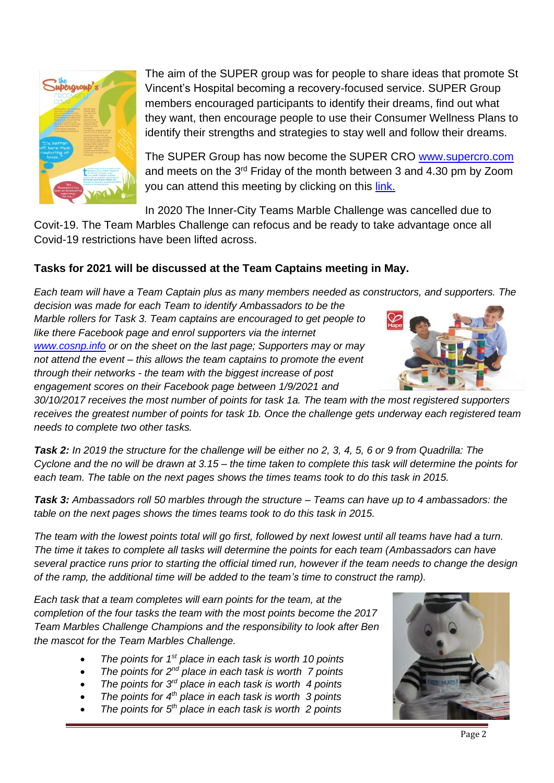

The aim of the SUPER group was for people to share ideas that promote St Vincent's Hospital becoming a recovery-focused service. SUPER Group members encouraged participants to identify their dreams, find out what they want, then encourage people to use their Consumer Wellness Plans to identify their strengths and strategies to stay well and follow their dreams.

The SUPER Group has now become the SUPER CRO [www.supercro.com](http://www.supercro.com/) and meets on the  $3<sup>rd</sup>$  Friday of the month between 3 and 4.30 pm by Zoom you can attend this meeting by clicking on this *link*.

In 2020 The Inner-City Teams Marble Challenge was cancelled due to

Covit-19. The Team Marbles Challenge can refocus and be ready to take advantage once all Covid-19 restrictions have been lifted across.

### **Tasks for 2021 will be discussed at the Team Captains meeting in May.**

*Each team will have a Team Captain plus as many members needed as constructors, and supporters. The decision was made for each Team to identify Ambassadors to be the* 

*Marble rollers for Task 3. Team captains are encouraged to get people to like there Facebook page and enrol supporters via the internet [www.cosnp.info](http://www.cosnp.info/) or on the sheet on the last page; Supporters may or may not attend the event – this allows the team captains to promote the event through their networks - the team with the biggest increase of post engagement scores on their Facebook page between 1/9/2021 and* 



*30/10/2017 receives the most number of points for task 1a. The team with the most registered supporters receives the greatest number of points for task 1b. Once the challenge gets underway each registered team needs to complete two other tasks.*

*Task 2: In 2019 the structure for the challenge will be either no 2, 3, 4, 5, 6 or 9 from Quadrilla: The Cyclone and the no will be drawn at 3.15 – the time taken to complete this task will determine the points for each team. The table on the next pages shows the times teams took to do this task in 2015.* 

*Task 3: Ambassadors roll 50 marbles through the structure – Teams can have up to 4 ambassadors: the table on the next pages shows the times teams took to do this task in 2015.* 

*The team with the lowest points total will go first, followed by next lowest until all teams have had a turn. The time it takes to complete all tasks will determine the points for each team (Ambassadors can have several practice runs prior to starting the official timed run, however if the team needs to change the design of the ramp, the additional time will be added to the team's time to construct the ramp).* 

*Each task that a team completes will earn points for the team, at the completion of the four tasks the team with the most points become the 2017 Team Marbles Challenge Champions and the responsibility to look after Ben the mascot for the Team Marbles Challenge.*

- *The points for 1st place in each task is worth 10 points*
- *The points for 2nd place in each task is worth 7 points*
- *The points for 3rd place in each task is worth 4 points*
- *The points for 4th place in each task is worth 3 points*
- The points for 5<sup>th</sup> place in each task is worth 2 points

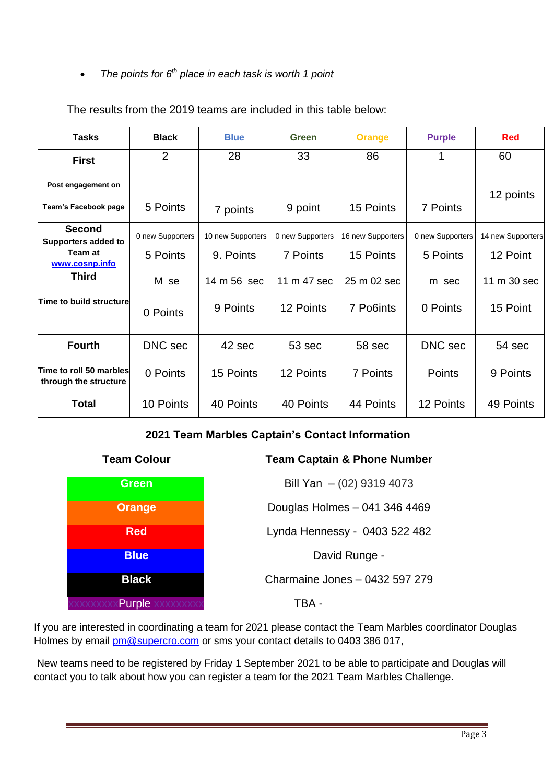#### • The points for 6<sup>th</sup> place in each task is worth 1 point

| <b>Tasks</b>                                                             | <b>Black</b>                 | <b>Blue</b>                    | Green                        | <b>Orange</b>                  | <b>Purple</b>                | <b>Red</b>                    |
|--------------------------------------------------------------------------|------------------------------|--------------------------------|------------------------------|--------------------------------|------------------------------|-------------------------------|
| <b>First</b>                                                             | $\overline{2}$               | 28                             | 33                           | 86                             |                              | 60                            |
| Post engagement on<br>Team's Facebook page                               | 5 Points                     | 7 points                       | 9 point                      | 15 Points                      | 7 Points                     | 12 points                     |
| <b>Second</b><br><b>Supporters added to</b><br>Team at<br>www.cosnp.info | 0 new Supporters<br>5 Points | 10 new Supporters<br>9. Points | 0 new Supporters<br>7 Points | 16 new Supporters<br>15 Points | 0 new Supporters<br>5 Points | 14 new Supporters<br>12 Point |
| <b>Third</b>                                                             | M se                         | 14 m 56 sec                    | 11 m 47 sec                  | 25 m 02 sec                    | m sec                        | 11 m 30 sec                   |
| Time to build structure                                                  | 0 Points                     | 9 Points                       | 12 Points                    | 7 Po6ints                      | 0 Points                     | 15 Point                      |
| <b>Fourth</b>                                                            | DNC sec                      | 42 sec                         | 53 sec                       | 58 sec                         | DNC sec                      | 54 sec                        |
| Time to roll 50 marbles<br>through the structure                         | 0 Points                     | 15 Points                      | 12 Points                    | 7 Points                       | Points                       | 9 Points                      |
| <b>Total</b>                                                             | 10 Points                    | 40 Points                      | 40 Points                    | 44 Points                      | 12 Points                    | 49 Points                     |

The results from the 2019 teams are included in this table below:

#### **2021 Team Marbles Captain's Contact Information**



#### **Team Colour Team Captain & Phone Number**

**Green Bill Yan** – (02) 9319 4073 **Orange** Douglas Holmes – 041 346 4469 **Red Red Lynda Hennessy - 0403 522 482 Blue** David Runge -**Black** Charmaine Jones – 0432 597 279

If you are interested in coordinating a team for 2021 please contact the Team Marbles coordinator Douglas Holmes by email [pm@supercro.com](mailto:pm@supercro.com) or sms your contact details to 0403 386 017,

New teams need to be registered by Friday 1 September 2021 to be able to participate and Douglas will contact you to talk about how you can register a team for the 2021 Team Marbles Challenge.